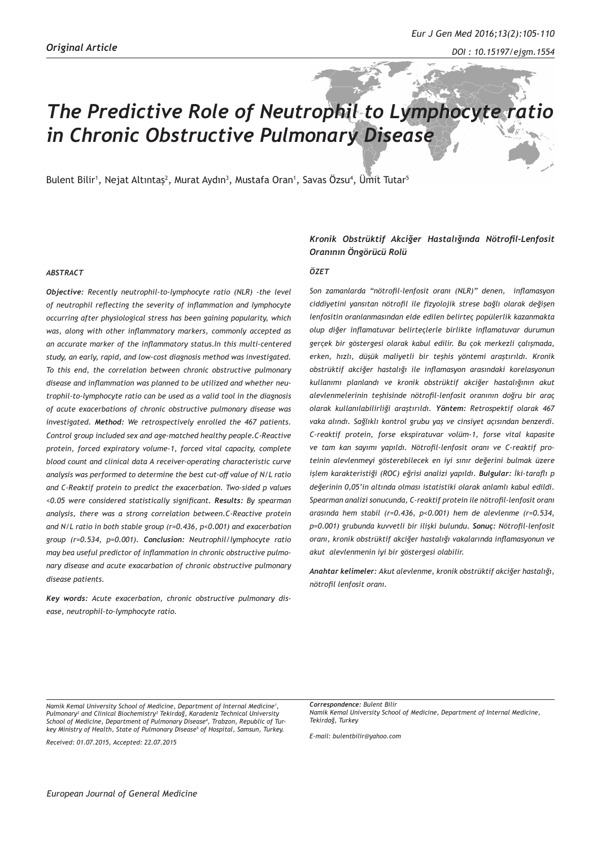# *The Predictive Role of Neutrophil to Lymphocyte ratio in Chronic Obstructive Pulmonary Disease*

Bulent Bilir<sup>1</sup>, Nejat Altıntaş<sup>2</sup>, Murat Aydın<sup>3</sup>, Mustafa Oran<sup>1</sup>, Savas Özsu<sup>4</sup>, Ümit Tutar<sup>5</sup>

#### *ABSTRACT*

*Objective: Recently neutrophil-to-lymphocyte ratio (NLR) -the level of neutrophil reflecting the severity of inflammation and lymphocyte occurring after physiological stress has been gaining popularity, which was, along with other inflammatory markers, commonly accepted as an accurate marker of the inflammatory status.In this multi-centered study, an early, rapid, and low-cost diagnosis method was investigated. To this end, the correlation between chronic obstructive pulmonary disease and inflammation was planned to be utilized and whether neutrophil-to-lymphocyte ratio can be used as a valid tool in the diagnosis of acute exacerbations of chronic obstructive pulmonary disease was investigated. Method: We retrospectively enrolled the 467 patients. Control group included sex and age-matched healthy people.C-Reactive protein, forced expiratory volume-1, forced vital capacity, complete blood count and clinical data A receiver-operating characteristic curve analysis was performed to determine the best cut-off value of N/L ratio and C-Reaktif protein to predict the exacerbation. Two-sided p values <0.05 were considered statistically significant. Results: By spearman analysis, there was a strong correlation between.C-Reactive protein and N/L ratio in both stable group (r=0.436, p<0.001) and exacerbation group (r=0.534, p=0.001). Conclusion: Neutrophil/lymphocyte ratio may bea useful predictor of inflammation in chronic obstructive pulmonary disease and acute exacarbation of chronic obstructive pulmonary disease patients.*

*Key words: Acute exacerbation, chronic obstructive pulmonary disease, neutrophil-to-lymphocyte ratio.* 

#### *Kronik Obstrüktif Akciğer Hastalığında Nötrofil-Lenfosit Oranının Öngörücü Rolü*

#### *ÖZET*

*Son zamanlarda "nötrofil-lenfosit oranı (NLR)" denen, inflamasyon ciddiyetini yansıtan nötrofil ile fizyolojik strese bağlı olarak değişen lenfositin oranlanmasından elde edilen belirteç popülerlik kazanmakta olup diğer inflamatuvar belirteçlerle birlikte inflamatuvar durumun gerçek bir göstergesi olarak kabul edilir. Bu çok merkezli çalışmada, erken, hızlı, düşük maliyetli bir teşhis yöntemi araştırıldı. Kronik obstrüktif akciğer hastalığı ile inflamasyon arasındaki korelasyonun kullanımı planlandı ve kronik obstrüktif akciğer hastalığının akut alevlenmelerinin teşhisinde nötrofil-lenfosit oranının doğru bir araç olarak kullanılabilirliği araştırıldı. Yöntem: Retrospektif olarak 467 vaka alındı. Sağlıklı kontrol grubu yaş ve cinsiyet açısından benzerdi. C-reaktif protein, forse ekspiratuvar volüm-1, forse vital kapasite ve tam kan sayımı yapıldı. Nötrofil-lenfosit oranı ve C-reaktif proteinin alevlenmeyi gösterebilecek en iyi sınır değerini bulmak üzere işlem karakteristiği (ROC) eğrisi analizi yapıldı. Bulgular: İki-taraflı p değerinin 0,05'in altında olması istatistiki olarak anlamlı kabul edildi. Spearman analizi sonucunda, C-reaktif protein ile nötrofil-lenfosit oranı arasında hem stabil (r=0.436, p<0.001) hem de alevlenme (r=0.534, p=0.001) grubunda kuvvetli bir ilişki bulundu. Sonuç: Nötrofil-lenfosit oranı, kronik obstrüktif akciğer hastalığı vakalarında inflamasyonun ve akut alevlenmenin iyi bir göstergesi olabilir.*

*Anahtar kelimeler: Akut alevlenme, kronik obstrüktif akciğer hastalığı, nötrofil lenfosit oranı.*

*Namik Kemal University School of Medicine, Department of Internal Medicine1 , Pulmonary2 and Clinical Biochemistry3 Tekirdağ, Karadeniz Technical University School of Medicine, Department of Pulmonary Disease4 , Trabzon, Republic of Turkey Ministry of Health, State of Pulmonary Disease5 of Hospital, Samsun, Turkey.*

*Received: 01.07.2015, Accepted: 22.07.2015*

*Correspondence: Bulent Bilir Namik Kemal University School of Medicine, Department of Internal Medicine, Tekirdağ, Turkey*

*E-mail: bulentbilir@yahoo.com*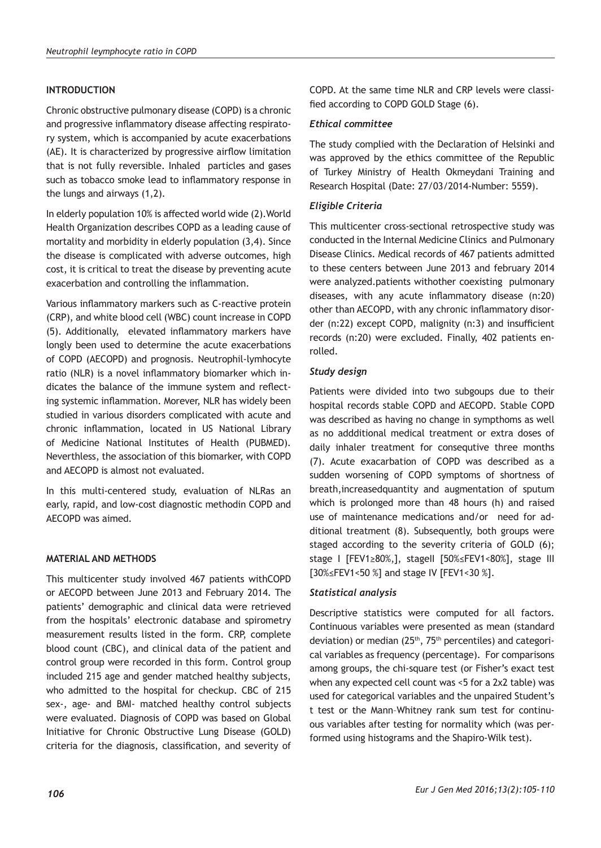# **INTRODUCTION**

Chronic obstructive pulmonary disease (COPD) is a chronic and progressive inflammatory disease affecting respiratory system, which is accompanied by acute exacerbations (AE). It is characterized by progressive airflow limitation that is not fully reversible. Inhaled particles and gases such as tobacco smoke lead to inflammatory response in the lungs and airways (1,2).

In elderly population 10% is affected world wide (2).World Health Organization describes COPD as a leading cause of mortality and morbidity in elderly population (3,4). Since the disease is complicated with adverse outcomes, high cost, it is critical to treat the disease by preventing acute exacerbation and controlling the inflammation.

Various inflammatory markers such as C-reactive protein (CRP), and white blood cell (WBC) count increase in COPD (5). Additionally, elevated inflammatory markers have longly been used to determine the acute exacerbations of COPD (AECOPD) and prognosis. Neutrophil-lymhocyte ratio (NLR) is a novel inflammatory biomarker which indicates the balance of the immune system and reflecting systemic inflammation. Morever, NLR has widely been studied in various disorders complicated with acute and chronic inflammation, located in US National Library of Medicine National Institutes of Health (PUBMED). Neverthless, the association of this biomarker, with COPD and AECOPD is almost not evaluated.

In this multi-centered study, evaluation of NLRas an early, rapid, and low-cost diagnostic methodin COPD and AECOPD was aimed.

# **MATERIAL AND METHODS**

This multicenter study involved 467 patients withCOPD or AECOPD between June 2013 and February 2014. The patients' demographic and clinical data were retrieved from the hospitals' electronic database and spirometry measurement results listed in the form. CRP, complete blood count (CBC), and clinical data of the patient and control group were recorded in this form. Control group included 215 age and gender matched healthy subjects, who admitted to the hospital for checkup. CBC of 215 sex-, age- and BMI- matched healthy control subjects were evaluated. Diagnosis of COPD was based on Global Initiative for Chronic Obstructive Lung Disease (GOLD) criteria for the diagnosis, classification, and severity of

COPD. At the same time NLR and CRP levels were classified according to COPD GOLD Stage (6).

## *Ethical committee*

The study complied with the Declaration of Helsinki and was approved by the ethics committee of the Republic of Turkey Ministry of Health Okmeydani Training and Research Hospital (Date: 27/03/2014-Number: 5559).

# *Eligible Criteria*

This multicenter cross-sectional retrospective study was conducted in the Internal Medicine Clinics and Pulmonary Disease Clinics. Medical records of 467 patients admitted to these centers between June 2013 and february 2014 were analyzed.patients withother coexisting pulmonary diseases, with any acute inflammatory disease (n:20) other than AECOPD, with any chronic inflammatory disorder (n:22) except COPD, malignity (n:3) and insufficient records (n:20) were excluded. Finally, 402 patients enrolled.

## *Study design*

Patients were divided into two subgoups due to their hospital records stable COPD and AECOPD. Stable COPD was described as having no change in sympthoms as well as no addditional medical treatment or extra doses of daily inhaler treatment for consequtive three months (7). Acute exacarbation of COPD was described as a sudden worsening of COPD symptoms of shortness of breath,increasedquantity and augmentation of sputum which is prolonged more than 48 hours (h) and raised use of maintenance medications and/or need for additional treatment (8). Subsequently, both groups were staged according to the severity criteria of GOLD (6); stage I [FEV1≥80%,], stageII [50%≤FEV1<80%], stage III [30%≤FEV1<50 %] and stage IV [FEV1<30 %].

# *Statistical analysis*

Descriptive statistics were computed for all factors. Continuous variables were presented as mean (standard deviation) or median (25<sup>th</sup>, 75<sup>th</sup> percentiles) and categorical variables as frequency (percentage). For comparisons among groups, the chi-square test (or Fisher's exact test when any expected cell count was <5 for a 2x2 table) was used for categorical variables and the unpaired Student's t test or the Mann–Whitney rank sum test for continuous variables after testing for normality which (was performed using histograms and the Shapiro‐Wilk test).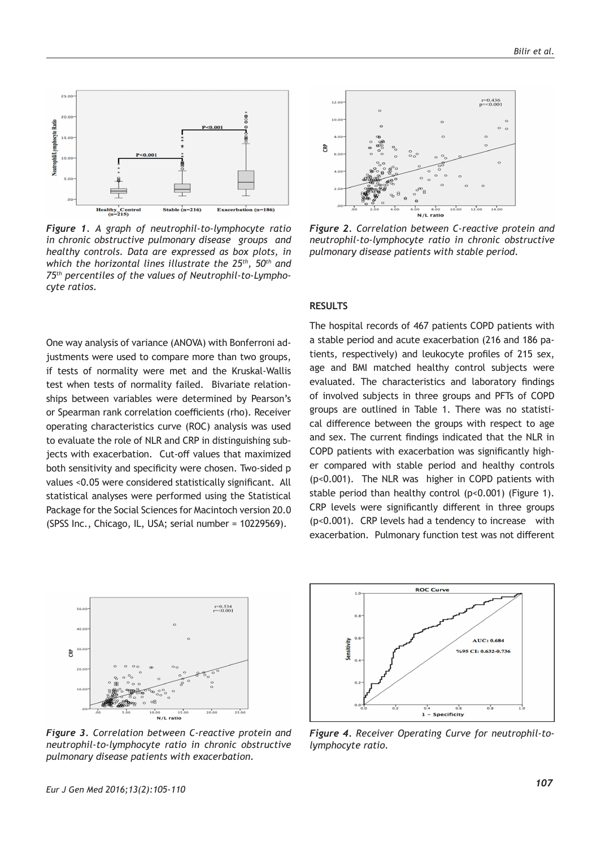

*Figure 1. A graph of neutrophil-to-lymphocyte ratio in chronic obstructive pulmonary disease groups and healthy controls. Data are expressed as box plots, in which the horizontal lines illustrate the 25th, 50th and 75th percentiles of the values of Neutrophil-to-Lymphocyte ratios.* 

One way analysis of variance (ANOVA) with Bonferroni adjustments were used to compare more than two groups, if tests of normality were met and the Kruskal-Wallis test when tests of normality failed. Bivariate relationships between variables were determined by Pearson's or Spearman rank correlation coefficients (rho). Receiver operating characteristics curve (ROC) analysis was used to evaluate the role of NLR and CRP in distinguishing subjects with exacerbation. Cut-off values that maximized both sensitivity and specificity were chosen. Two-sided p values <0.05 were considered statistically significant. All statistical analyses were performed using the Statistical Package for the Social Sciences for Macintoch version 20.0 (SPSS Inc., Chicago, IL, USA; serial number = 10229569).



*Figure 2. Correlation between C-reactive protein and neutrophil-to-lymphocyte ratio in chronic obstructive pulmonary disease patients with stable period.*

#### **RESULTS**

The hospital records of 467 patients COPD patients with a stable period and acute exacerbation (216 and 186 patients, respectively) and leukocyte profiles of 215 sex, age and BMI matched healthy control subjects were evaluated. The characteristics and laboratory findings of involved subjects in three groups and PFTs of COPD groups are outlined in Table 1. There was no statistical difference between the groups with respect to age and sex. The current findings indicated that the NLR in COPD patients with exacerbation was significantly higher compared with stable period and healthy controls (p<0.001). The NLR was higher in COPD patients with stable period than healthy control (p<0.001) (Figure 1). CRP levels were significantly different in three groups (p<0.001). CRP levels had a tendency to increase with exacerbation. Pulmonary function test was not different



*Figure 3. Correlation between C-reactive protein and neutrophil-to-lymphocyte ratio in chronic obstructive pulmonary disease patients with exacerbation.*



*Figure 4. Receiver Operating Curve for neutrophil-tolymphocyte ratio.*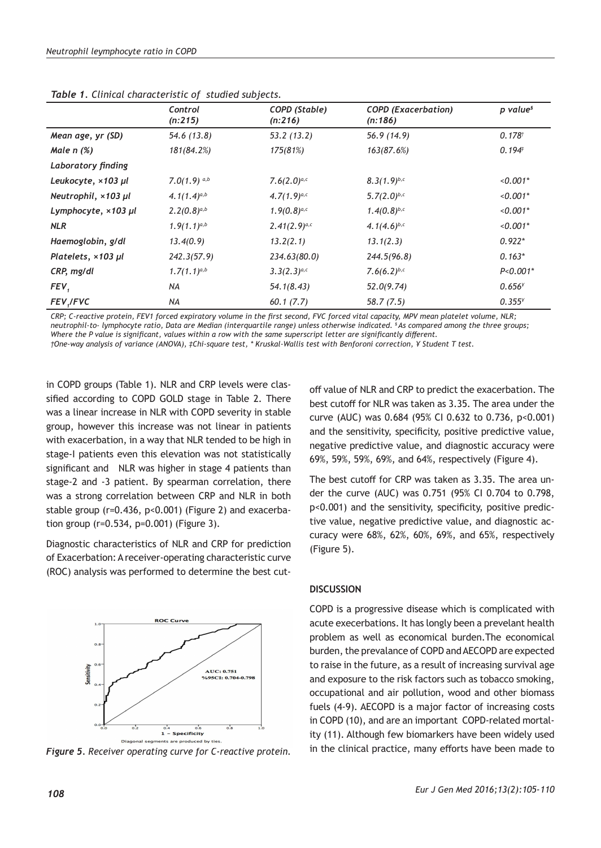|                                  | $\overline{\phantom{a}}$<br>Control<br>(n:215) | ╭<br>COPD (Stable)<br>(n:216) | <b>COPD</b> (Exacerbation)<br>(n:186) | p value <sup>s</sup> |
|----------------------------------|------------------------------------------------|-------------------------------|---------------------------------------|----------------------|
| Mean age, yr (SD)                | 54.6 (13.8)                                    | 53.2(13.2)                    | 56.9(14.9)                            | $0.178^{t}$          |
| Male $n$ $(\%)$                  | 181(84.2%)                                     | 175(81%)                      | 163(87.6%)                            | 0.194 <sup>‡</sup>   |
| Laboratory finding               |                                                |                               |                                       |                      |
| Leukocyte, ×103 µl               | 7.0(1.9) $a,b$                                 | $7.6(2.0)^{a,c}$              | $8.3(1.9)^{b,c}$                      | $< 0.001*$           |
| Neutrophil, ×103 µl              | $4.1(1.4)^{a,b}$                               | $4.7(1.9)^{a,c}$              | $5.7(2.0)^{b,c}$                      | $< 0.001*$           |
| Lymphocyte, $\times$ 103 $\mu$ l | $2.2(0.8)^{a,b}$                               | $1.9(0.8)^{a,c}$              | $1.4(0.8)^{b,c}$                      | $< 0.001*$           |
| <b>NLR</b>                       | $1.9(1.1)^{a,b}$                               | $2.41(2.9)^{a,c}$             | 4.1 $(4.6)^{b,c}$                     | $< 0.001*$           |
| Haemoglobin, g/dl                | 13.4(0.9)                                      | 13.2(2.1)                     | 13.1(2.3)                             | $0.922*$             |
| Platelets, $\times$ 103 $\mu$ l  | 242.3(57.9)                                    | 234.63(80.0)                  | 244.5(96.8)                           | $0.163*$             |
| CRP, mg/dl                       | $1.7(1.1)^{a,b}$                               | $3.3(2.3)^{a,c}$              | 7.6(6.2) $b,c$                        | $P < 0.001*$         |
| FEV,                             | NA                                             | 54.1(8.43)                    | 52.0(9.74)                            | $0.656^{y}$          |
| FEV, / FVC                       | NA                                             | 60.1(7.7)                     | 58.7(7.5)                             | $0.355^{y}$          |

*Table 1. Clinical characteristic of studied subjects.*

*CRP; C-reactive protein, FEV1 forced expiratory volume in the first second, FVC forced vital capacity, MPV mean platelet volume, NLR; neutrophil-to- lymphocyte ratio, Data are Median (interquartile range) unless otherwise indicated. § As compared among the three groups; Where the P value is significant, values within a row with the same superscript letter are significantly different.*

*†One-way analysis of variance (ANOVA), ‡Chi-square test, \* Kruskal-Wallis test with Benforoni correction, ¥ Student T test.*

in COPD groups (Table 1). NLR and CRP levels were classified according to COPD GOLD stage in Table 2. There was a linear increase in NLR with COPD severity in stable group, however this increase was not linear in patients with exacerbation, in a way that NLR tended to be high in stage-I patients even this elevation was not statistically significant and NLR was higher in stage 4 patients than stage-2 and -3 patient. By spearman correlation, there was a strong correlation between CRP and NLR in both stable group (r=0.436, p<0.001) (Figure 2) and exacerbation group (r=0.534, p=0.001) (Figure 3).

Diagnostic characteristics of NLR and CRP for prediction of Exacerbation: A receiver-operating characteristic curve (ROC) analysis was performed to determine the best cut-



*Figure 5. Receiver operating curve for C-reactive protein.*

off value of NLR and CRP to predict the exacerbation. The best cutoff for NLR was taken as 3.35. The area under the curve (AUC) was 0.684 (95% CI 0.632 to 0.736, p<0.001) and the sensitivity, specificity, positive predictive value, negative predictive value, and diagnostic accuracy were 69%, 59%, 59%, 69%, and 64%, respectively (Figure 4).

The best cutoff for CRP was taken as 3.35. The area under the curve (AUC) was 0.751 (95% CI 0.704 to 0.798, p<0.001) and the sensitivity, specificity, positive predictive value, negative predictive value, and diagnostic accuracy were 68%, 62%, 60%, 69%, and 65%, respectively (Figure 5).

#### **DISCUSSION**

COPD is a progressive disease which is complicated with acute execerbations. It has longly been a prevelant health problem as well as economical burden.The economical burden, the prevalance of COPD and AECOPD are expected to raise in the future, as a result of increasing survival age and exposure to the risk factors such as tobacco smoking, occupational and air pollution, wood and other biomass fuels (4-9). AECOPD is a major factor of increasing costs in COPD (10), and are an important COPD-related mortality (11). Although few biomarkers have been widely used in the clinical practice, many efforts have been made to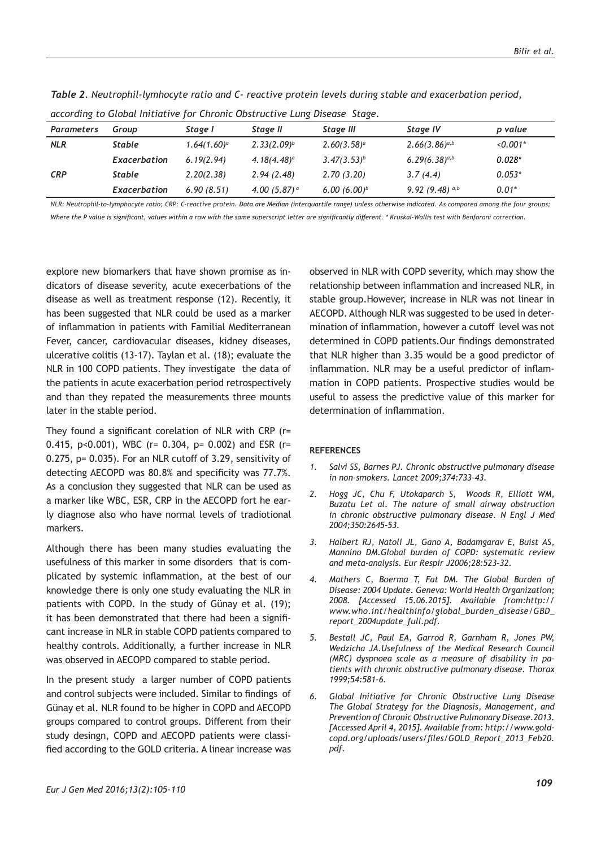| according to Global Initiative for Chronic Obstructive Lung Disease Stage. |               |                |                 |                |                    |            |  |
|----------------------------------------------------------------------------|---------------|----------------|-----------------|----------------|--------------------|------------|--|
| <b>Parameters</b>                                                          | Group         | Stage I        | Stage II        | Stage III      | Stage IV           | p value    |  |
| <b>NLR</b>                                                                 | <b>Stable</b> | $1.64(1.60)^a$ | $2.33(2.09)^b$  | $2.60(3.58)^a$ | $2.66(3.86)^{a,b}$ | $< 0.001*$ |  |
|                                                                            | Exacerbation  | 6.19(2.94)     | $4.18(4.48)^a$  | $3.47(3.53)^b$ | $6.29(6.38)^{a,b}$ | $0.028*$   |  |
| <b>CRP</b>                                                                 | <b>Stable</b> | 2.20(2.38)     | 2.94(2.48)      | 2.70(3.20)     | 3.7(4.4)           | $0.053*$   |  |
|                                                                            | Exacerbation  | 6.90(8.51)     | 4.00 $(5.87)^a$ | $6.00(6.00)^b$ | 9.92 (9.48) $a,b$  | $0.01*$    |  |

*Table 2. Neutrophil-lymhocyte ratio and C- reactive protein levels during stable and exacerbation period,* 

| according to Global Initiative for Chronic Obstructive Lung Disease Stage. |  |  |
|----------------------------------------------------------------------------|--|--|
|                                                                            |  |  |

*NLR: Neutrophil-to-lymphocyte ratio; CRP: C-reactive protein. Data are Median (interquartile range) unless otherwise indicated. As compared among the four groups;*  Where the P value is significant, values within a row with the same superscript letter are significantly different. \* Kruskal-Wallis test with Benforoni correction.

explore new biomarkers that have shown promise as indicators of disease severity, acute execerbations of the disease as well as treatment response (12). Recently, it has been suggested that NLR could be used as a marker of inflammation in patients with Familial Mediterranean Fever, cancer, cardiovacular diseases, kidney diseases, ulcerative colitis (13-17). Taylan et al. (18); evaluate the NLR in 100 COPD patients. They investigate the data of the patients in acute exacerbation period retrospectively and than they repated the measurements three mounts later in the stable period.

They found a significant corelation of NLR with CRP (r= 0.415, p<0.001), WBC (r= 0.304, p= 0.002) and ESR (r= 0.275, p= 0.035). For an NLR cutoff of 3.29, sensitivity of detecting AECOPD was 80.8% and specificity was 77.7%. As a conclusion they suggested that NLR can be used as a marker like WBC, ESR, CRP in the AECOPD fort he early diagnose also who have normal levels of tradiotional markers.

Although there has been many studies evaluating the usefulness of this marker in some disorders that is complicated by systemic inflammation, at the best of our knowledge there is only one study evaluating the NLR in patients with COPD. In the study of Günay et al. (19); it has been demonstrated that there had been a significant increase in NLR in stable COPD patients compared to healthy controls. Additionally, a further increase in NLR was observed in AECOPD compared to stable period.

In the present study a larger number of COPD patients and control subjects were included. Similar to findings of Günay et al. NLR found to be higher in COPD and AECOPD groups compared to control groups. Different from their study desingn, COPD and AECOPD patients were classified according to the GOLD criteria. A linear increase was observed in NLR with COPD severity, which may show the relationship between inflammation and increased NLR, in stable group.However, increase in NLR was not linear in AECOPD. Although NLR was suggested to be used in determination of inflammation, however a cutoff level was not determined in COPD patients.Our findings demonstrated that NLR higher than 3.35 would be a good predictor of inflammation. NLR may be a useful predictor of inflammation in COPD patients. Prospective studies would be useful to assess the predictive value of this marker for determination of inflammation.

#### **REFERENCES**

- *1. Salvi SS, Barnes PJ. Chronic obstructive pulmonary disease in non-smokers. Lancet 2009;374:733-43.*
- *2. Hogg JC, Chu F, Utokaparch S, Woods R, Elliott WM, Buzatu Let al. The nature of small airway obstruction in chronic obstructive pulmonary disease. N Engl J Med 2004;350:2645–53.*
- *3. Halbert RJ, Natoli JL, Gano A, Badamgarav E, Buist AS, Mannino DM.Global burden of COPD: systematic review and meta-analysis. Eur Respir J2006;28:523–32.*
- *4. Mathers C, Boerma T, Fat DM. The Global Burden of Disease: 2004 Update. Geneva: World Health Organization; 2008. [Accessed 15.06.2015]. Available from:http:// www.who.int/healthinfo/global\_burden\_disease/GBD\_ report\_2004update\_full.pdf.*
- *5. Bestall JC, Paul EA, Garrod R, Garnham R, Jones PW, Wedzicha JA.Usefulness of the Medical Research Council (MRC) dyspnoea scale as a measure of disability in patients with chronic obstructive pulmonary disease. Thorax 1999;54:581-6.*
- *6. Global Initiative for Chronic Obstructive Lung Disease The Global Strategy for the Diagnosis, Management, and Prevention of Chronic Obstructive Pulmonary Disease.2013. [Accessed April 4, 2015]. Available from: http://www.goldcopd.org/uploads/users/files/GOLD\_Report\_2013\_Feb20. pdf.*